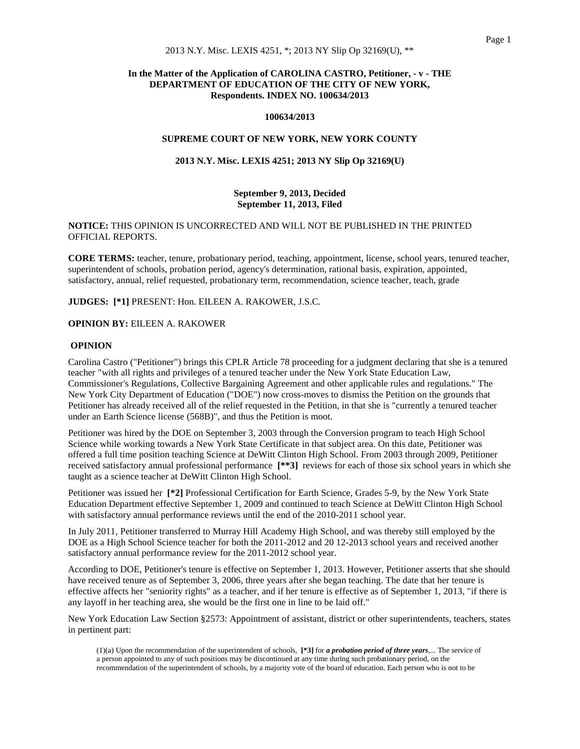# **In the Matter of the Application of CAROLINA CASTRO, Petitioner, - v - THE DEPARTMENT OF EDUCATION OF THE CITY OF NEW YORK, Respondents. INDEX NO. 100634/2013**

#### **100634/2013**

#### **SUPREME COURT OF NEW YORK, NEW YORK COUNTY**

### **2013 N.Y. Misc. LEXIS 4251; 2013 NY Slip Op 32169(U)**

# **September 9, 2013, Decided September 11, 2013, Filed**

# **NOTICE:** THIS OPINION IS UNCORRECTED AND WILL NOT BE PUBLISHED IN THE PRINTED OFFICIAL REPORTS.

**CORE TERMS:** teacher, tenure, probationary period, teaching, appointment, license, school years, tenured teacher, superintendent of schools, probation period, agency's determination, rational basis, expiration, appointed, satisfactory, annual, relief requested, probationary term, recommendation, science teacher, teach, grade

**JUDGES: [\*1]** PRESENT: Hon. EILEEN A. RAKOWER, J.S.C.

### **OPINION BY:** EILEEN A. RAKOWER

### **OPINION**

Carolina Castro ("Petitioner") brings this CPLR Article 78 proceeding for a judgment declaring that she is a tenured teacher "with all rights and privileges of a tenured teacher under the New York State Education Law, Commissioner's Regulations, Collective Bargaining Agreement and other applicable rules and regulations." The New York City Department of Education ("DOE") now cross-moves to dismiss the Petition on the grounds that Petitioner has already received all of the relief requested in the Petition, in that she is "currently a tenured teacher under an Earth Science license (568B)", and thus the Petition is moot.

Petitioner was hired by the DOE on September 3, 2003 through the Conversion program to teach High School Science while working towards a New York State Certificate in that subject area. On this date, Petitioner was offered a full time position teaching Science at DeWitt Clinton High School. From 2003 through 2009, Petitioner received satisfactory annual professional performance **[\*\*3]** reviews for each of those six school years in which she taught as a science teacher at DeWitt Clinton High School.

Petitioner was issued her **[\*2]** Professional Certification for Earth Science, Grades 5-9, by the New York State Education Department effective September 1, 2009 and continued to teach Science at DeWitt Clinton High School with satisfactory annual performance reviews until the end of the 2010-2011 school year.

In July 2011, Petitioner transferred to Murray Hill Academy High School, and was thereby still employed by the DOE as a High School Science teacher for both the 2011-2012 and 20 12-2013 school years and received another satisfactory annual performance review for the 2011-2012 school year.

According to DOE, Petitioner's tenure is effective on September 1, 2013. However, Petitioner asserts that she should have received tenure as of September 3, 2006, three years after she began teaching. The date that her tenure is effective affects her "seniority rights" as a teacher, and if her tenure is effective as of September 1, 2013, "if there is any layoff in her teaching area, she would be the first one in line to be laid off."

New York Education Law Section §2573: Appointment of assistant, district or other superintendents, teachers, states in pertinent part:

<sup>(1)(</sup>a) Upon the recommendation of the superintendent of schools, **[\*3]** for *a probation period of three years*,... The service of a person appointed to any of such positions may be discontinued at any time during such probationary period, on the recommendation of the superintendent of schools, by a majority vote of the board of education. Each person who is not to be